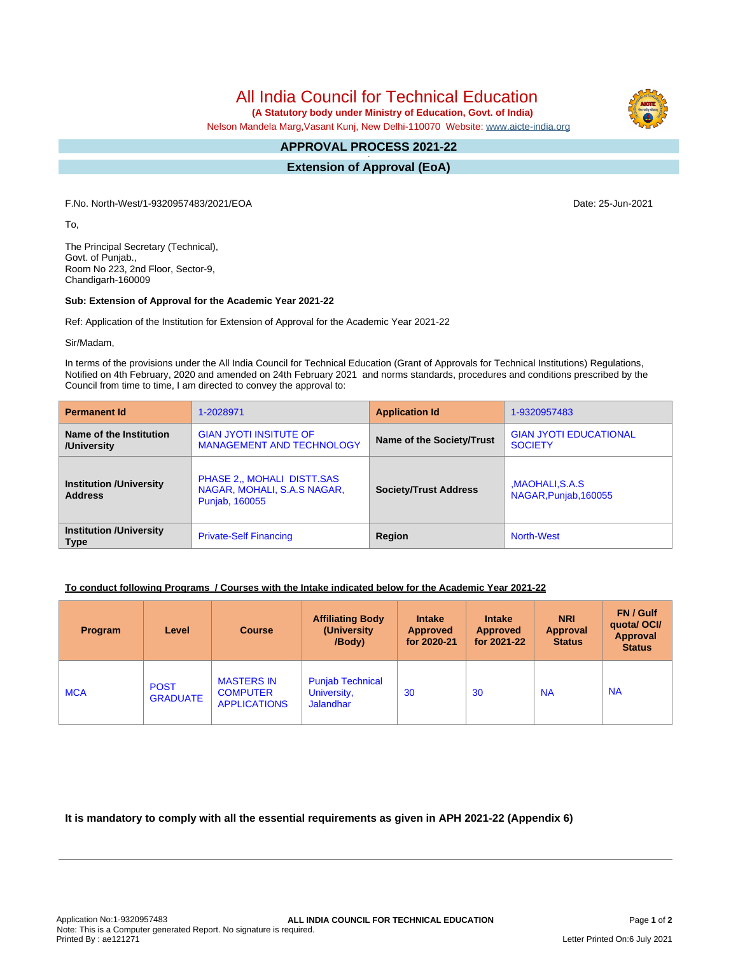All India Council for Technical Education

 **(A Statutory body under Ministry of Education, Govt. of India)**

Nelson Mandela Marg,Vasant Kunj, New Delhi-110070 Website: [www.aicte-india.org](http://www.aicte-india.org)

#### **APPROVAL PROCESS 2021-22 -**

**Extension of Approval (EoA)**

F.No. North-West/1-9320957483/2021/EOA Date: 25-Jun-2021

To,

The Principal Secretary (Technical), Govt. of Punjab., Room No 223, 2nd Floor, Sector-9, Chandigarh-160009

#### **Sub: Extension of Approval for the Academic Year 2021-22**

Ref: Application of the Institution for Extension of Approval for the Academic Year 2021-22

Sir/Madam,

In terms of the provisions under the All India Council for Technical Education (Grant of Approvals for Technical Institutions) Regulations, Notified on 4th February, 2020 and amended on 24th February 2021 and norms standards, procedures and conditions prescribed by the Council from time to time, I am directed to convey the approval to:

| <b>Permanent Id</b>                              | 1-2028971                                                                   | <b>Application Id</b>        | 1-9320957483                                    |  |
|--------------------------------------------------|-----------------------------------------------------------------------------|------------------------------|-------------------------------------------------|--|
| Name of the Institution<br>/University           | <b>GIAN JYOTI INSITUTE OF</b><br><b>MANAGEMENT AND TECHNOLOGY</b>           | Name of the Society/Trust    | <b>GIAN JYOTI EDUCATIONAL</b><br><b>SOCIETY</b> |  |
| <b>Institution /University</b><br><b>Address</b> | PHASE 2., MOHALI DISTT.SAS<br>NAGAR, MOHALI, S.A.S NAGAR,<br>Punjab, 160055 | <b>Society/Trust Address</b> | MAOHALI, S.A.S<br>NAGAR, Punjab, 160055         |  |
| <b>Institution /University</b><br><b>Type</b>    | <b>Private-Self Financing</b>                                               | Region                       | North-West                                      |  |

## **To conduct following Programs / Courses with the Intake indicated below for the Academic Year 2021-22**

| Program    | Level                          | <b>Course</b>                                               | <b>Affiliating Body</b><br>(University)<br>/Body)          | <b>Intake</b><br><b>Approved</b><br>for 2020-21 | <b>Intake</b><br><b>Approved</b><br>for 2021-22 | <b>NRI</b><br><b>Approval</b><br><b>Status</b> | FN / Gulf<br>quotal OCI/<br>Approval<br><b>Status</b> |
|------------|--------------------------------|-------------------------------------------------------------|------------------------------------------------------------|-------------------------------------------------|-------------------------------------------------|------------------------------------------------|-------------------------------------------------------|
| <b>MCA</b> | <b>POST</b><br><b>GRADUATE</b> | <b>MASTERS IN</b><br><b>COMPUTER</b><br><b>APPLICATIONS</b> | <b>Punjab Technical</b><br>University,<br><b>Jalandhar</b> | 30                                              | 30                                              | <b>NA</b>                                      | <b>NA</b>                                             |

**It is mandatory to comply with all the essential requirements as given in APH 2021-22 (Appendix 6)**